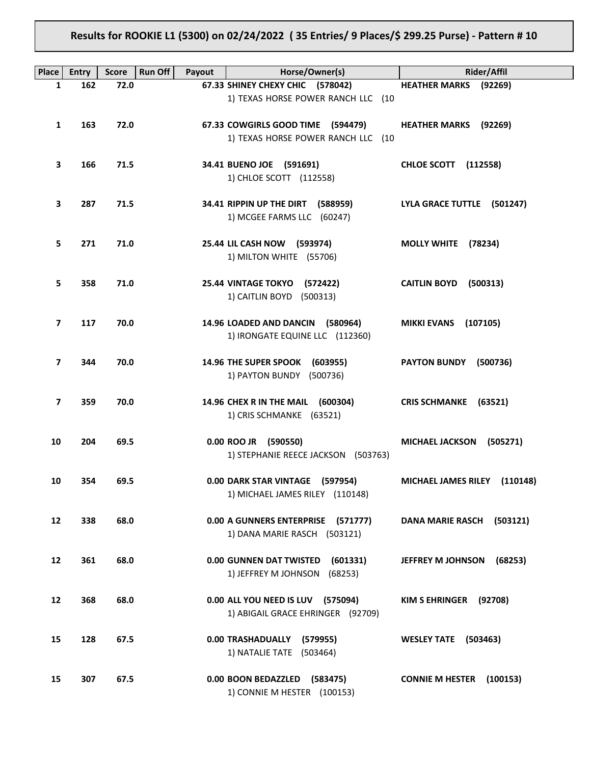# **Results for ROOKIE L1 (5300) on 02/24/2022 ( 35 Entries/ 9 Places/\$ 299.25 Purse) - Pattern # 10**

| Place             | <b>Entry</b> | <b>Run Off</b><br><b>Score</b> | Payout | Horse/Owner(s)                                                            | <b>Rider/Affil</b>                 |
|-------------------|--------------|--------------------------------|--------|---------------------------------------------------------------------------|------------------------------------|
| $\mathbf{1}$      | 162          | 72.0                           |        | 67.33 SHINEY CHEXY CHIC (578042)                                          | <b>HEATHER MARKS</b> (92269)       |
|                   |              |                                |        | 1) TEXAS HORSE POWER RANCH LLC (10                                        |                                    |
| 1                 | 163          | 72.0                           |        | 67.33 COWGIRLS GOOD TIME (594479)<br>1) TEXAS HORSE POWER RANCH LLC (10   | <b>HEATHER MARKS</b> (92269)       |
| 3                 | 166          | 71.5                           |        | 34.41 BUENO JOE (591691)<br>1) CHLOE SCOTT (112558)                       | <b>CHLOE SCOTT</b> (112558)        |
| З                 | 287          | 71.5                           |        | 34.41 RIPPIN UP THE DIRT (588959)<br>1) MCGEE FARMS LLC (60247)           | LYLA GRACE TUTTLE (501247)         |
| 5                 | 271          | 71.0                           |        | 25.44 LIL CASH NOW (593974)<br>1) MILTON WHITE (55706)                    | MOLLY WHITE (78234)                |
| 5                 | 358          | 71.0                           |        | 25.44 VINTAGE TOKYO (572422)<br>1) CAITLIN BOYD (500313)                  | CAITLIN BOYD (500313)              |
| 7                 | 117          | 70.0                           |        | 14.96 LOADED AND DANCIN (580964)<br>1) IRONGATE EQUINE LLC (112360)       | <b>MIKKI EVANS (107105)</b>        |
| 7                 | 344          | 70.0                           |        | 14.96 THE SUPER SPOOK (603955)<br>1) PAYTON BUNDY (500736)                | <b>PAYTON BUNDY</b><br>(500736)    |
| 7                 | 359          | 70.0                           |        | 14.96 CHEX R IN THE MAIL (600304)<br>1) CRIS SCHMANKE (63521)             | CRIS SCHMANKE (63521)              |
| 10                | 204          | 69.5                           |        | 0.00 ROO JR (590550)<br>1) STEPHANIE REECE JACKSON (503763)               | <b>MICHAEL JACKSON</b><br>(505271) |
| 10                | 354          | 69.5                           |        | 0.00 DARK STAR VINTAGE (597954)<br>1) MICHAEL JAMES RILEY (110148)        | MICHAEL JAMES RILEY (110148)       |
| $12 \overline{ }$ | 338          | 68.0                           |        | 0.00 A GUNNERS ENTERPRISE (571777)<br>1) DANA MARIE RASCH (503121)        | DANA MARIE RASCH (503121)          |
| 12                | 361          | 68.0                           |        | 0.00 GUNNEN DAT TWISTED<br>(601331)<br>1) JEFFREY M JOHNSON<br>(68253)    | JEFFREY M JOHNSON<br>(68253)       |
| 12                | 368          | 68.0                           |        | 0.00 ALL YOU NEED IS LUV<br>(575094)<br>1) ABIGAIL GRACE EHRINGER (92709) | <b>KIM S EHRINGER</b><br>(92708)   |
| 15                | 128          | 67.5                           |        | 0.00 TRASHADUALLY<br>(579955)<br>1) NATALIE TATE (503464)                 | <b>WESLEY TATE</b><br>(503463)     |
| 15                | 307          | 67.5                           |        | 0.00 BOON BEDAZZLED<br>(583475)<br>1) CONNIE M HESTER (100153)            | <b>CONNIE M HESTER (100153)</b>    |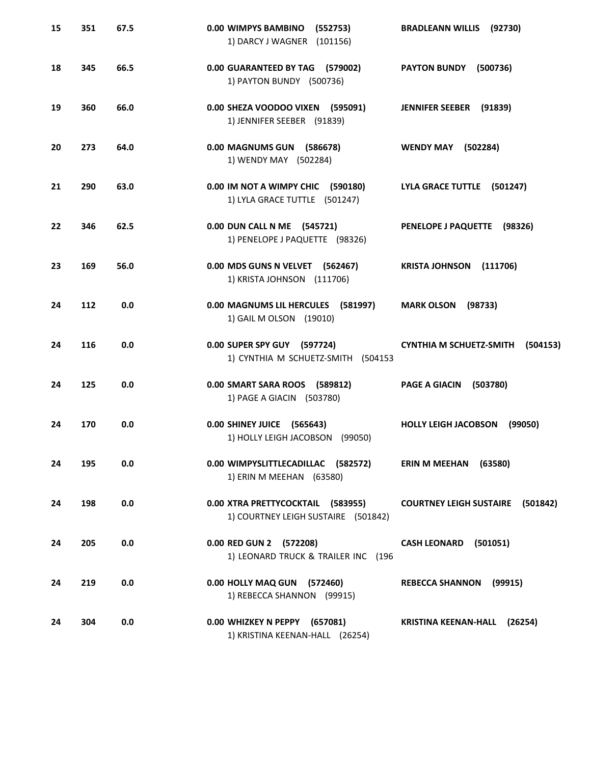| 15 | 351 | 67.5 | 0.00 WIMPYS BAMBINO<br>(552753)<br>1) DARCY J WAGNER (101156)            | <b>BRADLEANN WILLIS (92730)</b>            |
|----|-----|------|--------------------------------------------------------------------------|--------------------------------------------|
| 18 | 345 | 66.5 | 0.00 GUARANTEED BY TAG (579002)<br>1) PAYTON BUNDY (500736)              | <b>PAYTON BUNDY</b><br>(500736)            |
| 19 | 360 | 66.0 | 0.00 SHEZA VOODOO VIXEN (595091)<br>1) JENNIFER SEEBER (91839)           | JENNIFER SEEBER (91839)                    |
| 20 | 273 | 64.0 | 0.00 MAGNUMS GUN (586678)<br>1) WENDY MAY (502284)                       | <b>WENDY MAY</b><br>(502284)               |
| 21 | 290 | 63.0 | 0.00 IM NOT A WIMPY CHIC (590180)<br>1) LYLA GRACE TUTTLE (501247)       | LYLA GRACE TUTTLE (501247)                 |
| 22 | 346 | 62.5 | 0.00 DUN CALL N ME (545721)<br>1) PENELOPE J PAQUETTE (98326)            | PENELOPE J PAQUETTE (98326)                |
| 23 | 169 | 56.0 | 0.00 MDS GUNS N VELVET (562467)<br>1) KRISTA JOHNSON (111706)            | <b>KRISTA JOHNSON</b><br>(111706)          |
| 24 | 112 | 0.0  | 0.00 MAGNUMS LIL HERCULES (581997)<br>1) GAIL M OLSON (19010)            | <b>MARK OLSON (98733)</b>                  |
| 24 | 116 | 0.0  | 0.00 SUPER SPY GUY (597724)<br>1) CYNTHIA M SCHUETZ-SMITH<br>(504153     | <b>CYNTHIA M SCHUETZ-SMITH</b><br>(504153) |
| 24 | 125 | 0.0  | 0.00 SMART SARA ROOS (589812)<br>1) PAGE A GIACIN (503780)               | <b>PAGE A GIACIN</b><br>(503780)           |
| 24 | 170 | 0.0  | 0.00 SHINEY JUICE (565643)<br>1) HOLLY LEIGH JACOBSON (99050)            | <b>HOLLY LEIGH JACOBSON</b><br>(99050)     |
| 24 | 195 | 0.0  | 0.00 WIMPYSLITTLECADILLAC (582572)<br>1) ERIN M MEEHAN (63580)           | ERIN M MEEHAN (63580)                      |
| 24 | 198 | 0.0  | 0.00 XTRA PRETTYCOCKTAIL (583955)<br>1) COURTNEY LEIGH SUSTAIRE (501842) | <b>COURTNEY LEIGH SUSTAIRE (501842)</b>    |
| 24 | 205 | 0.0  | 0.00 RED GUN 2 (572208)<br>1) LEONARD TRUCK & TRAILER INC (196           | CASH LEONARD (501051)                      |
| 24 | 219 | 0.0  | 0.00 HOLLY MAQ GUN (572460)<br>1) REBECCA SHANNON (99915)                | <b>REBECCA SHANNON</b><br>(99915)          |
| 24 | 304 | 0.0  | 0.00 WHIZKEY N PEPPY (657081)<br>1) KRISTINA KEENAN-HALL (26254)         | KRISTINA KEENAN-HALL (26254)               |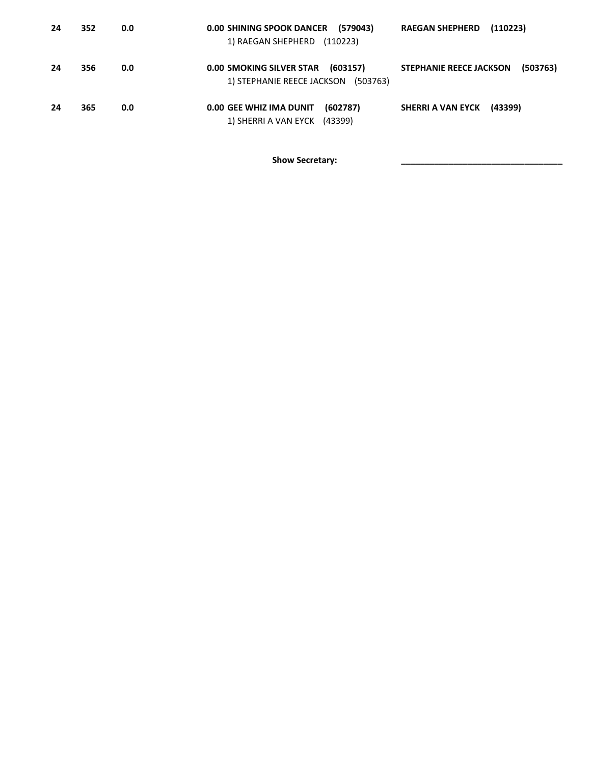| 24 | 352 | 0.0 | <b>0.00 SHINING SPOOK DANCER</b><br>(579043)<br>1) RAEGAN SHEPHERD<br>(110223)        | <b>RAEGAN SHEPHERD</b><br>(110223)         |
|----|-----|-----|---------------------------------------------------------------------------------------|--------------------------------------------|
| 24 | 356 | 0.0 | <b>0.00 SMOKING SILVER STAR</b><br>(603157)<br>1) STEPHANIE REECE JACKSON<br>(503763) | <b>STEPHANIE REECE JACKSON</b><br>(503763) |
| 24 | 365 | 0.0 | 0.00 GEE WHIZ IMA DUNIT<br>(602787)<br>1) SHERRI A VAN EYCK (43399)                   | SHERRI A VAN EYCK<br>(43399)               |

Show Secretary: